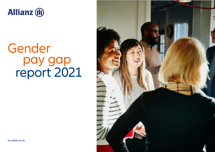

# Gender<br>pay gap report 2021



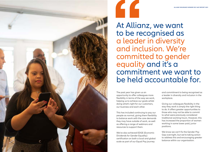

## At Allianz, we want<br>to be recognised as a leader in diversity and inclusion . We're committed to gender equality and it's a commitment we want to be held accountable for.

The past year has given us an opportunity to offer colleagues more flexibility in terms of the way we work, helping us to achieve our goals whilst doing what's right for our customers, our business and each other.

This has included continuing to pay our people as normal, giving them flexibility to balance work with the care demands they may have outside of work, as well as offering a range of webinars and resources to support them.

We've also achieved EDGE (Economic Dividends for Gender Equality) certification on both a local and global scale as part of our Equal Pay journey

and commitment to being recognised as a leader in diversity and inclusion in the workplace.

Giving our colleagues flexibility in the way they work is simply the right thing to do. It offers greater opportunities to those who may not be able to commit to what were previously considered traditional working hours. However, this has increased the proportion of women working in some lower paid, junior positions.

We know we can't fix the Gender Pay Gap overnight, but we're taking action to address this and encouraging greater balance within our organisation.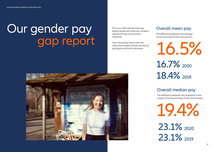## Our gender pay gap report

The difference between the midpoints in the ranges of hourly earnings of men and women.

### Overall mean pay

The difference between the average hourly earnings of men and women.

### Overall median pay





## 18.4% 2019



This is our fifth Gender Pay Gap Report where we share our numbers against the key Government measures.

Over this period we've seen the mean and median hourly and bonus pay gaps continue to decrease.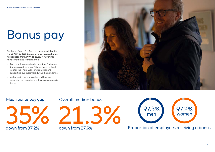# Bonus pay

Our Mean Bonus Pay Gap has **decreased slightly from 37.2% to 35%, but our overall median bonus has reduced from 27.9% to 21.3%**. A few things have contributed to this change:

- Each employee received a one-time Christmas bonus, as well as a free Allianz share - a thank you for their hard work and commitment, supporting our customers during the pandemic.
- A change to the bonus rules and how we calculate the bonus for employees on maternity leave.





### Mean bonus pay gap Overall median bonus



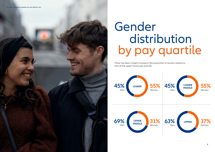

There has been a slight increase in the proportion of women relative to men at the upper hourly pay quartile.





## Gender distribution by pay quartile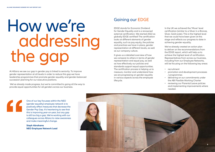At Allianz we see our gap in gender pay is linked to seniority. To improve gender representation at all levels in order to reduce this gap we have leadership programmes that promote gender equality and gender-balanced succession planning for our executive positions.

# Gaining our EDGE<br>EDGE stands for Economic Dividence<br>for Gender Equality and is a renown addressing the gap

 We've already made progress, but we're committed to going all the way to provide equal opportunities for all genders across our business.



EDGE stands for Economic Dividend for Gender Equality and is a renowned external certification. We started 2022 as globally EDGE-certified! The certification looks at different elements of gender equality, such as pay equity, the policies and practices we have in place, gender representation at different levels, as well as our company culture.

It gives us a detailed overview of how we compare to others in terms of gender representation and equal pay, as well as how effectively our policies and standards support equal opportunities. The certification process is helping us to measure, monitor and understand how we are progressing on gender equality in various aspects across the employee lifecycle.



In the UK we achieved the 'Move' level certification (similar to a Silver in a Bronze, Silver, Gold scale). This is the highest level that we could have been given at this stage and reflects our progress to date in achieving gender equality.

We've already created an action plan to deliver on the recommendations from the EDGE report, which will help us to achieve the highest level of certification. Representatives from across our business, including from our Employee Networks, will be focusing on the following key areas:

- recruitment
- promotion and development processes / programmes
- delivering on our commitments under the ABI Flexible Working Charter
- reviewing our Parental Leave policies and implementing improvements where needed.

One of our key focusses within the NEO (gender equality) employee network is to positively effect measures that decrease the Gender Pay Gap. It's heartening to see that this is improving year-on-year, but any gap is still too big a gap. We're working with our colleagues across Allianz to raise awareness and make meaningful change.

**Steph Abrahams NEO Employee Network Lead**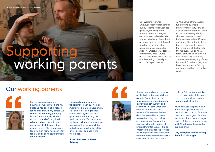## **NEMPORE NAME** Augrking r duo Dolores et. Supporting working parents

Our Working Parents'

Employee Network launched a Buddy scheme for colleagues going on/returning from parental leave. Colleagues can volunteer to be a buddy to support others, giving them an opportunity to chat through how they're feeling, what resources are available for support (Employee Assistance Programme, Able Futures access, free Headspace, etc.) or simply offering a friendly ear and a fresh perspective.

At Allianz we offer 26 weeks full pay and 13 weeks Statutory Maternity Pay, as well as Shared Parental Leave. If a woman having a baby chooses to return to work before using up their 52 week entitlement to maternity leave, they may be able to transfer the remainder of the leave to their spouse, civil partner, or father of the child. This would also include any remaining Statutory Maternity Pay. If they both work for Allianz they may be able to share the full pay entitlement within the first 26 weeks.

For me personally, gender balance between myself and my husband has been a big reason for where I am with my career. We shared the maternity/paternity leave, 6 months each, with both of our children before I joined Allianz and we now both work and share all of the parenting responsibilities. This equality and teamwork at home has been vital for me, and also hugely beneficial for our children.

I also really appreciate the flexibility I've been allowed at Allianz, for example dealing with sick children or going to their school Nativity, and the trust given to me in balancing my work and home life. I want it to be the norm for men and women to share caring responsibilities outside of work as I believe this drives gender balance in the workplace.

**Sarah Rushworth Senior Actuary**





"I took standard paternity leave on the birth of both our children as solid 2 week blocks. I then took a month of shared parental leave with both our first and second child - both when they were 10 months old. These periods of leave were the best decisions I could have taken! I received nothing but positive encouragement from my line managers for both periods of Shared Parental Leave. HR also improved the guidance provided on what you can take the second time around as first time it wasn't clear how flexible the scheme

could be (with options to take time off in periods, at the same time as your partner or when they are back at work).

My team were supportive and it provided opportunities for them to take a step up for those periods so it was good for them too. I also plan to take a longer period of shared parental leave in 2022 following the arrival of our third child.

**Guy Meagher, Underwriting Technical Manager**

## Our working parents



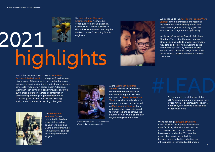# highlights Field and advice for aspiring female<br>engineers.

On International Women in Engineering Day we invited six colleagues from our Engineering, Construction & Power business to share their experience of working the engineers.



Alison Paterson, Team Leader of the Year Women in Insurance Awards 2021

### In October we took part in a virtual Women in Business & Tech virtual Expo, designed for all women at any stage of their career to provide inspiration and guidance around navigating the industry and business services to find a perfect career match. Additional Women in Tech campaign activity includes ensuring 100% of job adverts in IT, Data and Information Security are put through a gender decoder and

showcasing our flexible and inclusive working environment to future and existing colleagues.



At the Women in Insurance Awards, we had an impressive list of nominations across 8 of the award categories. We won two awards - Team Leader of the Year for excellence in leadership, communication and vision, as well as Most Inspiring Returner for a colleague who was a role model to women looking to achieve the balance between work and family life, following a career break.

# All our leaders completed our global

All our leaders completed our global #LEAD learning programme, giving them a wide range of skills including inclusive leadership, diversity and inclusion and wellbeing at work.

On International

Women's Day we celebrated by holding a star-stuffed virtual panel event, including Olympic and Paralympic female athletes and Red Roses England Rugby Players.

### We signed up to the ABI Making Flexible Work Charter, aimed at attracting and retaining the best talent from all backgrounds and to narrow the gender seniority gap in the insurance and long-term saving industry.

In July we refreshed our Diversity & Inclusion Standard. This is about how we treat each other inside and outside of work so everyone feels safe and comfortable working as their true authentic selves. By having a diverse workforce we can better design products and deliver service that suits the needs of all our customers.

We're adopting new ways of working across much of the business to introduce more flexibility where it's possible to do so to best support our customers, our business and each other. This enables more colleagues to work flexibly between home and office, adapting our office spaces for increased collaboration.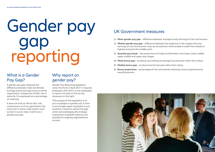### What is a Gender Pay Gap?

A gender pay gap measures the difference between male and female average hourly earnings across a whole organisation, irrespective of their role or seniority. It is expressed as a percentage of male pay.

It does not look at 'like for like' role comparisons, so if an organisation has more men in senior roles and/or more women in junior roles, it will have a gender pay gap.

### Why report on gender pay?

# Gender pay UK Government measures gap reporting

Gender Pay Reporting legislation came into force in April 2017. It requires employers with 250 or more employees to report annually on the six key measures on the right.

The purpose of this legislation is to put a spotlight on gender pay. It aims to encourage larger employers to put solutions in place to reduce the gap, whilst acknowledging the strategic importance of gender balance and equality for ongoing organisational success.



- **1. Mean gender pay gap** difference between average hourly earnings of men and women.
- **2. Median gender pay gap** difference between the midpoints in the ranges of hourly earnings of men and women, lines up all salaries in that sample in order from lowest to highest and picks the middle point.
- **3. Quartile pay bands**  the proportions of males and females in the lower, lower middle, upper middle and upper pay ranges.
- **4. Mean bonus gap** as above, but looking at average bonuses paid rather than salary.
- **5. Median bonus gap** as above but for bonuses rather than salary.
- **6. Bonus proportions** percentage of men and women receiving a bonus (performance award) payment.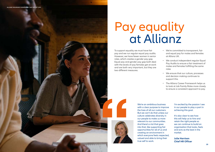To support equality we must have fair pay and we run regular equal pay audits. However, we have fewer women in senior roles, which creates a gender pay gap. Equal pay and gender pay gap both deal with the levels of pay females get at work and are both very important, but they are two different measures.



- We're committed to transparent, fair and equal pay for males and females at Allianz UK.
- We conduct independent regular Equal Pay Audits to ensure a fair treatment of males and females fulfilling the same roles
- We ensure that our culture, processes and decision making continues to support this.
- The Allianz Career Framework helps us to look at Job Family Roles more closely to ensure a consistent approach to pay.

## Pay equality at Allianz

We're an ambitious business with a clear purpose to improve the lives of all our customers. But we can't do that unless our culture celebrates diversity in our people to make us more relevant to our communities. And there's a lot that goes into that, like supporting fair opportunities for all of us and creating an environment in which everyone feels respected, valued and able to bring their true self to work.

I'm excited by the passion I see in our people to play a part in achieving this goal.

It's also clear to see how this will help us to hire and retain the right people so we can continue to build an organisation that looks, feels and acts as the best in the market.

**Julie Harrison Chief HR Officer**